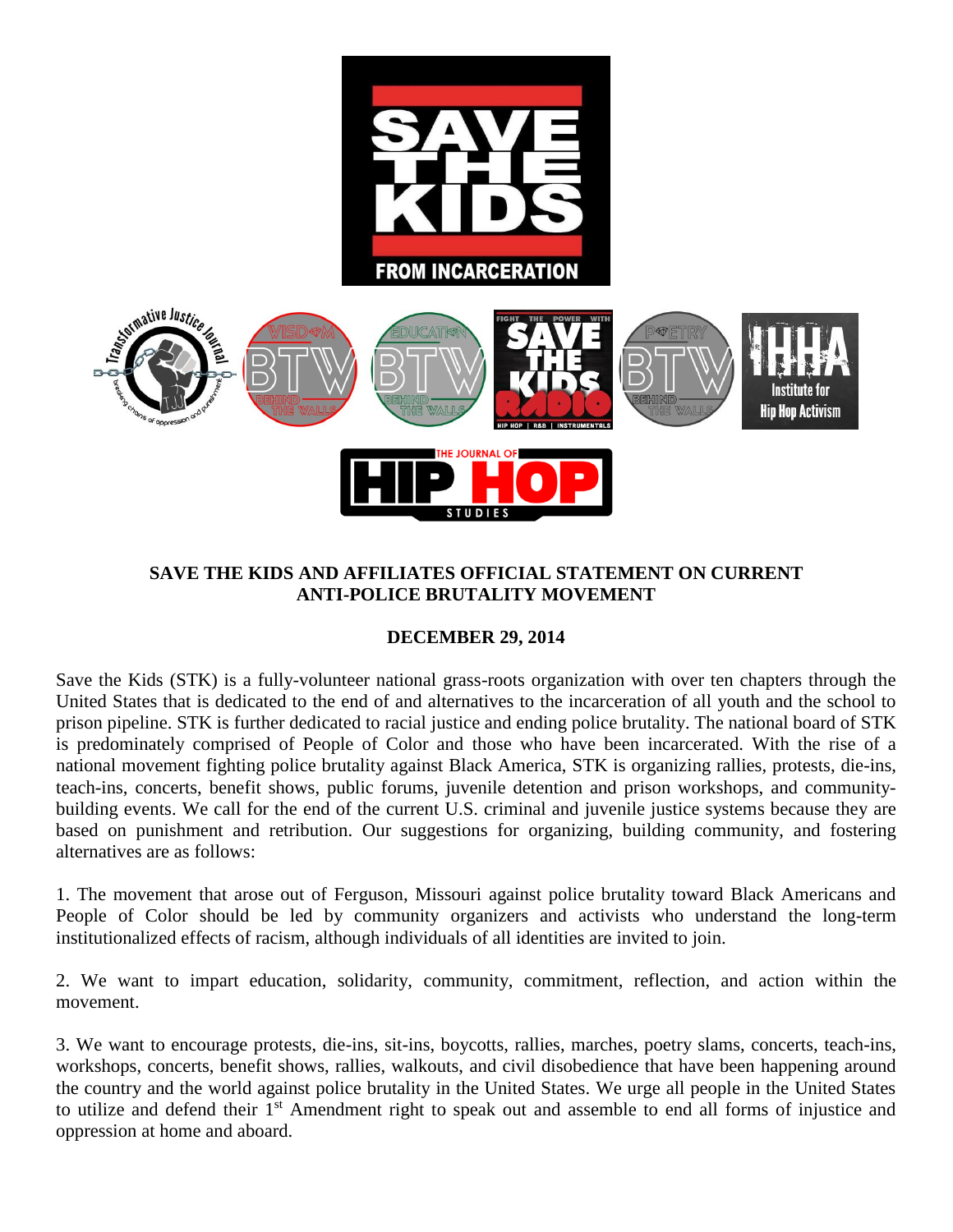

## **SAVE THE KIDS AND AFFILIATES OFFICIAL STATEMENT ON CURRENT ANTI-POLICE BRUTALITY MOVEMENT**

## **DECEMBER 29, 2014**

Save the Kids (STK) is a fully-volunteer national grass-roots organization with over ten chapters through the United States that is dedicated to the end of and alternatives to the incarceration of all youth and the school to prison pipeline. STK is further dedicated to racial justice and ending police brutality. The national board of STK is predominately comprised of People of Color and those who have been incarcerated. With the rise of a national movement fighting police brutality against Black America, STK is organizing rallies, protests, die-ins, teach-ins, concerts, benefit shows, public forums, juvenile detention and prison workshops, and communitybuilding events. We call for the end of the current U.S. criminal and juvenile justice systems because they are based on punishment and retribution. Our suggestions for organizing, building community, and fostering alternatives are as follows:

1. The movement that arose out of Ferguson, Missouri against police brutality toward Black Americans and People of Color should be led by community organizers and activists who understand the long-term institutionalized effects of racism, although individuals of all identities are invited to join.

2. We want to impart education, solidarity, community, commitment, reflection, and action within the movement.

3. We want to encourage protests, die-ins, sit-ins, boycotts, rallies, marches, poetry slams, concerts, teach-ins, workshops, concerts, benefit shows, rallies, walkouts, and civil disobedience that have been happening around the country and the world against police brutality in the United States. We urge all people in the United States to utilize and defend their 1<sup>st</sup> Amendment right to speak out and assemble to end all forms of injustice and oppression at home and aboard.